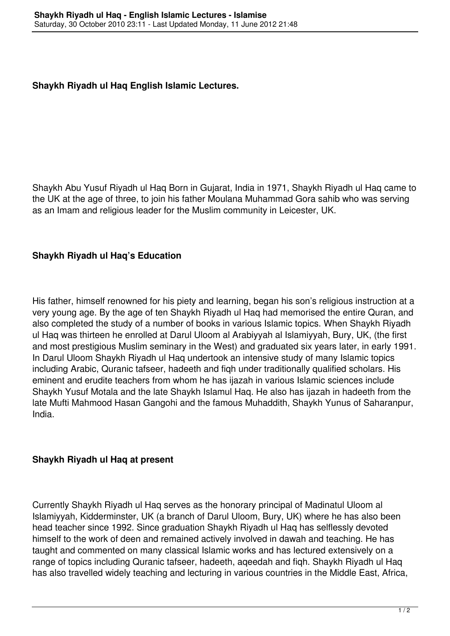## **Shaykh Riyadh ul Haq English Islamic Lectures.**

Shaykh Abu Yusuf Riyadh ul Haq Born in Gujarat, India in 1971, Shaykh Riyadh ul Haq came to the UK at the age of three, to join his father Moulana Muhammad Gora sahib who was serving as an Imam and religious leader for the Muslim community in Leicester, UK.

## **Shaykh Riyadh ul Haq's Education**

His father, himself renowned for his piety and learning, began his son's religious instruction at a very young age. By the age of ten Shaykh Riyadh ul Haq had memorised the entire Quran, and also completed the study of a number of books in various Islamic topics. When Shaykh Riyadh ul Haq was thirteen he enrolled at Darul Uloom al Arabiyyah al Islamiyyah, Bury, UK, (the first and most prestigious Muslim seminary in the West) and graduated six years later, in early 1991. In Darul Uloom Shaykh Riyadh ul Haq undertook an intensive study of many Islamic topics including Arabic, Quranic tafseer, hadeeth and fiqh under traditionally qualified scholars. His eminent and erudite teachers from whom he has ijazah in various Islamic sciences include Shaykh Yusuf Motala and the late Shaykh Islamul Haq. He also has ijazah in hadeeth from the late Mufti Mahmood Hasan Gangohi and the famous Muhaddith, Shaykh Yunus of Saharanpur, India.

## **Shaykh Riyadh ul Haq at present**

Currently Shaykh Riyadh ul Haq serves as the honorary principal of Madinatul Uloom al Islamiyyah, Kidderminster, UK (a branch of Darul Uloom, Bury, UK) where he has also been head teacher since 1992. Since graduation Shaykh Riyadh ul Haq has selflessly devoted himself to the work of deen and remained actively involved in dawah and teaching. He has taught and commented on many classical Islamic works and has lectured extensively on a range of topics including Quranic tafseer, hadeeth, aqeedah and fiqh. Shaykh Riyadh ul Haq has also travelled widely teaching and lecturing in various countries in the Middle East, Africa,